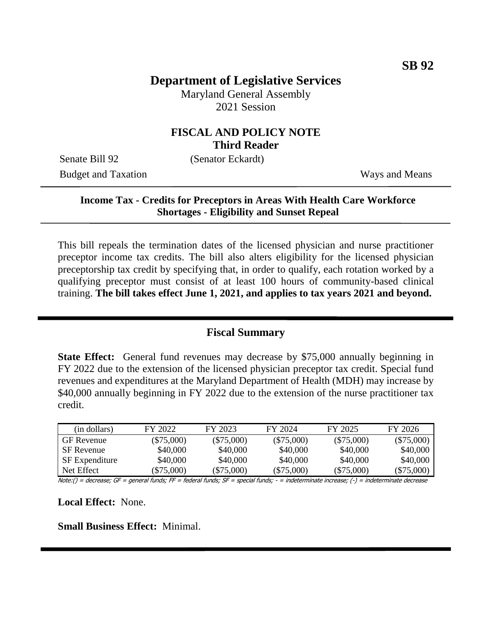# **Department of Legislative Services**

Maryland General Assembly 2021 Session

### **FISCAL AND POLICY NOTE Third Reader**

Senate Bill 92 (Senator Eckardt)

Budget and Taxation Ways and Means

## **Income Tax - Credits for Preceptors in Areas With Health Care Workforce Shortages - Eligibility and Sunset Repeal**

This bill repeals the termination dates of the licensed physician and nurse practitioner preceptor income tax credits. The bill also alters eligibility for the licensed physician preceptorship tax credit by specifying that, in order to qualify, each rotation worked by a qualifying preceptor must consist of at least 100 hours of community-based clinical training. **The bill takes effect June 1, 2021, and applies to tax years 2021 and beyond.**

### **Fiscal Summary**

**State Effect:** General fund revenues may decrease by \$75,000 annually beginning in FY 2022 due to the extension of the licensed physician preceptor tax credit. Special fund revenues and expenditures at the Maryland Department of Health (MDH) may increase by \$40,000 annually beginning in FY 2022 due to the extension of the nurse practitioner tax credit.

| (in dollars)          | FY 2022      | FY 2023      | FY 2024      | FY 2025      | FY 2026      |
|-----------------------|--------------|--------------|--------------|--------------|--------------|
| GF Revenue            | $(\$75,000)$ | $(\$75,000)$ | $(\$75,000)$ | $(\$75,000)$ | $(\$75,000)$ |
| SF Revenue            | \$40,000     | \$40,000     | \$40,000     | \$40,000     | \$40,000     |
| <b>SF</b> Expenditure | \$40,000     | \$40,000     | \$40,000     | \$40,000     | \$40,000     |
| Net Effect            | $\$75,000$   | (S75,000)    | $(\$75,000)$ | $(\$75,000)$ | $(\$75,000)$ |

Note:() = decrease; GF = general funds; FF = federal funds; SF = special funds; - = indeterminate increase; (-) = indeterminate decrease

**Local Effect:** None.

**Small Business Effect:** Minimal.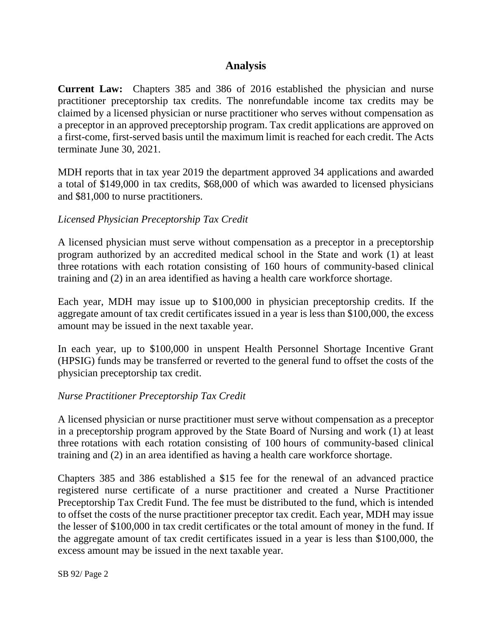# **Analysis**

**Current Law:** Chapters 385 and 386 of 2016 established the physician and nurse practitioner preceptorship tax credits. The nonrefundable income tax credits may be claimed by a licensed physician or nurse practitioner who serves without compensation as a preceptor in an approved preceptorship program. Tax credit applications are approved on a first-come, first-served basis until the maximum limit is reached for each credit. The Acts terminate June 30, 2021.

MDH reports that in tax year 2019 the department approved 34 applications and awarded a total of \$149,000 in tax credits, \$68,000 of which was awarded to licensed physicians and \$81,000 to nurse practitioners.

### *Licensed Physician Preceptorship Tax Credit*

A licensed physician must serve without compensation as a preceptor in a preceptorship program authorized by an accredited medical school in the State and work (1) at least three rotations with each rotation consisting of 160 hours of community-based clinical training and (2) in an area identified as having a health care workforce shortage.

Each year, MDH may issue up to \$100,000 in physician preceptorship credits. If the aggregate amount of tax credit certificates issued in a year is less than \$100,000, the excess amount may be issued in the next taxable year.

In each year, up to \$100,000 in unspent Health Personnel Shortage Incentive Grant (HPSIG) funds may be transferred or reverted to the general fund to offset the costs of the physician preceptorship tax credit.

#### *Nurse Practitioner Preceptorship Tax Credit*

A licensed physician or nurse practitioner must serve without compensation as a preceptor in a preceptorship program approved by the State Board of Nursing and work (1) at least three rotations with each rotation consisting of 100 hours of community-based clinical training and (2) in an area identified as having a health care workforce shortage.

Chapters 385 and 386 established a \$15 fee for the renewal of an advanced practice registered nurse certificate of a nurse practitioner and created a Nurse Practitioner Preceptorship Tax Credit Fund. The fee must be distributed to the fund, which is intended to offset the costs of the nurse practitioner preceptor tax credit. Each year, MDH may issue the lesser of \$100,000 in tax credit certificates or the total amount of money in the fund. If the aggregate amount of tax credit certificates issued in a year is less than \$100,000, the excess amount may be issued in the next taxable year.

SB 92/ Page 2